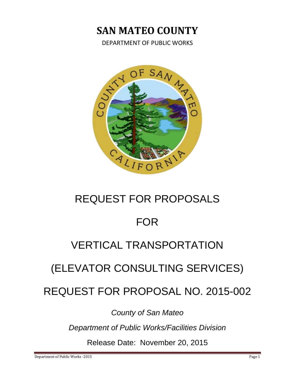# **SAN MATEO COUNTY**

DEPARTMENT OF PUBLIC WORKS



# REQUEST FOR PROPOSALS

# FOR

# VERTICAL TRANSPORTATION

# (ELEVATOR CONSULTING SERVICES)

REQUEST FOR PROPOSAL NO. 2015-002

*County of San Mateo*

*Department of Public Works/Facilities Division*

Release Date: November 20, 2015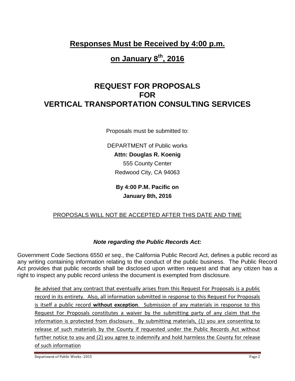**Responses Must be Received by 4:00 p.m.** 

# **on January 8th, 2016**

# **REQUEST FOR PROPOSALS FOR VERTICAL TRANSPORTATION CONSULTING SERVICES**

Proposals must be submitted to:

DEPARTMENT of Public works **Attn: Douglas R. Koenig** 555 County Center Redwood City, CA 94063

> **By 4:00 P.M. Pacific on January 8th, 2016**

# PROPOSALS WILL NOT BE ACCEPTED AFTER THIS DATE AND TIME

# *Note regarding the Public Records Act:*

Government Code Sections 6550 *et seq.*, the California Public Record Act, defines a public record as any writing containing information relating to the conduct of the public business. The Public Record Act provides that public records shall be disclosed upon written request and that any citizen has a right to inspect any public record unless the document is exempted from disclosure.

Be advised that any contract that eventually arises from this Request For Proposals is a public record in its entirety. Also, all information submitted in response to this Request For Proposals is itself a public record **without exception**. Submission of any materials in response to this Request For Proposals constitutes a waiver by the submitting party of any claim that the information is protected from disclosure. By submitting materials, (1) you are consenting to release of such materials by the County if requested under the Public Records Act without further notice to you and (2) you agree to indemnify and hold harmless the County for release of such information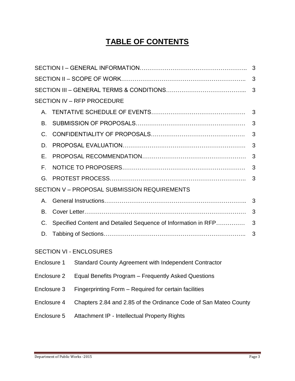# **TABLE OF CONTENTS**

|                                              | 3                                                             |                                                                  |   |  |  |
|----------------------------------------------|---------------------------------------------------------------|------------------------------------------------------------------|---|--|--|
|                                              |                                                               |                                                                  |   |  |  |
|                                              |                                                               |                                                                  |   |  |  |
| <b>SECTION IV - RFP PROCEDURE</b>            |                                                               |                                                                  |   |  |  |
| Α.                                           |                                                               |                                                                  |   |  |  |
| В.                                           |                                                               |                                                                  | 3 |  |  |
| C.                                           |                                                               | 3                                                                |   |  |  |
| D.                                           |                                                               | 3                                                                |   |  |  |
| Е.                                           |                                                               | 3                                                                |   |  |  |
| F.                                           |                                                               | 3                                                                |   |  |  |
| G.                                           |                                                               | 3                                                                |   |  |  |
| SECTION V - PROPOSAL SUBMISSION REQUIREMENTS |                                                               |                                                                  |   |  |  |
| Α.                                           |                                                               |                                                                  | 3 |  |  |
| В.                                           |                                                               |                                                                  | 3 |  |  |
| C.                                           | Specified Content and Detailed Sequence of Information in RFP |                                                                  | 3 |  |  |
| D.                                           |                                                               |                                                                  | 3 |  |  |
|                                              |                                                               | <b>SECTION VI - ENCLOSURES</b>                                   |   |  |  |
| Enclosure 1                                  |                                                               | Standard County Agreement with Independent Contractor            |   |  |  |
| Enclosure 2                                  |                                                               | Equal Benefits Program - Frequently Asked Questions              |   |  |  |
| Enclosure 3                                  |                                                               | Fingerprinting Form - Required for certain facilities            |   |  |  |
| Enclosure 4                                  |                                                               | Chapters 2.84 and 2.85 of the Ordinance Code of San Mateo County |   |  |  |
| Enclosure 5                                  |                                                               | Attachment IP - Intellectual Property Rights                     |   |  |  |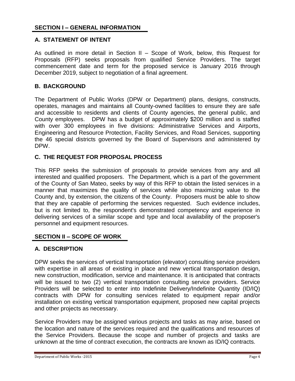### **SECTION I – GENERAL INFORMATION**

#### **A. STATEMENT OF INTENT**

As outlined in more detail in Section II – Scope of Work, below, this Request for Proposals (RFP) seeks proposals from qualified Service Providers. The target commencement date and term for the proposed service is January 2016 through December 2019, subject to negotiation of a final agreement.

#### **B. BACKGROUND**

The Department of Public Works (DPW or Department) plans, designs, constructs, operates, manages and maintains all County-owned facilities to ensure they are safe and accessible to residents and clients of County agencies, the general public, and County employees. DPW has a budget of approximately \$200 million and is staffed with over 300 employees in five divisions: Administrative Services and Airports, Engineering and Resource Protection, Facility Services, and Road Services, supporting the 46 special districts governed by the Board of Supervisors and administered by DPW.

### **C. THE REQUEST FOR PROPOSAL PROCESS**

This RFP seeks the submission of proposals to provide services from any and all interested and qualified proposers. The Department, which is a part of the government of the County of San Mateo, seeks by way of this RFP to obtain the listed services in a manner that maximizes the quality of services while also maximizing value to the County and, by extension, the citizens of the County. Proposers must be able to show that they are capable of performing the services requested. Such evidence includes, but is not limited to, the respondent's demonstrated competency and experience in delivering services of a similar scope and type and local availability of the proposer's personnel and equipment resources.

#### **SECTION II – SCOPE OF WORK**

# **A. DESCRIPTION**

DPW seeks the services of vertical transportation (elevator) consulting service providers with expertise in all areas of existing in place and new vertical transportation design, new construction, modification, service and maintenance. It is anticipated that contracts will be issued to two (2) vertical transportation consulting service providers. Service Providers will be selected to enter into Indefinite Delivery/Indefinite Quantity (ID/IQ) contracts with DPW for consulting services related to equipment repair and/or installation on existing vertical transportation equipment, proposed new capital projects and other projects as necessary.

Service Providers may be assigned various projects and tasks as may arise, based on the location and nature of the services required and the qualifications and resources of the Service Providers. Because the scope and number of projects and tasks are unknown at the time of contract execution, the contracts are known as ID/IQ contracts.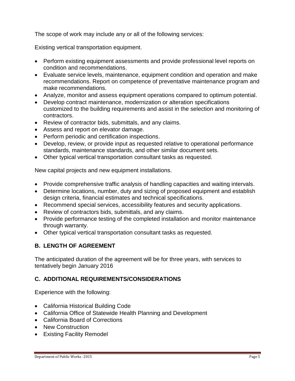The scope of work may include any or all of the following services:

Existing vertical transportation equipment.

- Perform existing equipment assessments and provide professional level reports on condition and recommendations.
- Evaluate service levels, maintenance, equipment condition and operation and make recommendations. Report on competence of preventative maintenance program and make recommendations.
- Analyze, monitor and assess equipment operations compared to optimum potential.
- Develop contract maintenance, modernization or alteration specifications customized to the building requirements and assist in the selection and monitoring of contractors.
- Review of contractor bids, submittals, and any claims.
- Assess and report on elevator damage.
- Perform periodic and certification inspections.
- Develop, review, or provide input as requested relative to operational performance standards, maintenance standards, and other similar document sets.
- Other typical vertical transportation consultant tasks as requested.

New capital projects and new equipment installations.

- Provide comprehensive traffic analysis of handling capacities and waiting intervals.
- Determine locations, number, duty and sizing of proposed equipment and establish design criteria, financial estimates and technical specifications.
- Recommend special services, accessibility features and security applications.
- Review of contractors bids, submittals, and any claims.
- Provide performance testing of the completed installation and monitor maintenance through warranty.
- Other typical vertical transportation consultant tasks as requested.

# **B. LENGTH OF AGREEMENT**

The anticipated duration of the agreement will be for three years, with services to tentatively begin January 2016

# **C. ADDITIONAL REQUIREMENTS/CONSIDERATIONS**

Experience with the following:

- California Historical Building Code
- California Office of Statewide Health Planning and Development
- California Board of Corrections
- New Construction
- Existing Facility Remodel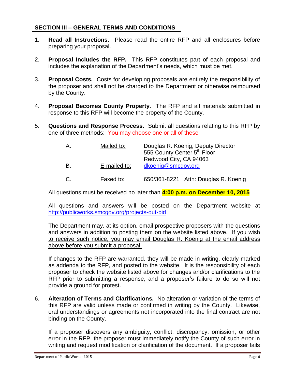### **SECTION III – GENERAL TERMS AND CONDITIONS**

- 1. **Read all Instructions.** Please read the entire RFP and all enclosures before preparing your proposal.
- 2. **Proposal Includes the RFP.** This RFP constitutes part of each proposal and includes the explanation of the Department's needs, which must be met.
- 3. **Proposal Costs.** Costs for developing proposals are entirely the responsibility of the proposer and shall not be charged to the Department or otherwise reimbursed by the County.
- 4. **Proposal Becomes County Property.** The RFP and all materials submitted in response to this RFP will become the property of the County.
- 5. **Questions and Response Process.** Submit all questions relating to this RFP by one of three methods: You may choose one or all of these

| Α. | Mailed to:   | Douglas R. Koenig, Deputy Director<br>555 County Center 5 <sup>th</sup> Floor<br>Redwood City, CA 94063 |  |
|----|--------------|---------------------------------------------------------------------------------------------------------|--|
| B. | E-mailed to: | dkoenig@smcgov.org                                                                                      |  |
| C. | Faxed to:    | 650/361-8221 Attn: Douglas R. Koenig                                                                    |  |

All questions must be received no later than **4:00 p.m. on December 10, 2015**

All questions and answers will be posted on the Department website at <http://publicworks.smcgov.org/projects-out-bid>

The Department may, at its option, email prospective proposers with the questions and answers in addition to posting them on the website listed above. If you wish to receive such notice, you may email Douglas R. Koenig at the email address above before you submit a proposal.

If changes to the RFP are warranted, they will be made in writing, clearly marked as addenda to the RFP, and posted to the website. It is the responsibility of each proposer to check the website listed above for changes and/or clarifications to the RFP prior to submitting a response, and a proposer's failure to do so will not provide a ground for protest.

6. **Alteration of Terms and Clarifications.** No alteration or variation of the terms of this RFP are valid unless made or confirmed in writing by the County. Likewise, oral understandings or agreements not incorporated into the final contract are not binding on the County.

If a proposer discovers any ambiguity, conflict, discrepancy, omission, or other error in the RFP, the proposer must immediately notify the County of such error in writing and request modification or clarification of the document. If a proposer fails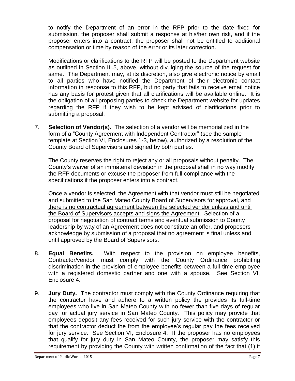to notify the Department of an error in the RFP prior to the date fixed for submission, the proposer shall submit a response at his/her own risk, and if the proposer enters into a contract, the proposer shall not be entitled to additional compensation or time by reason of the error or its later correction.

Modifications or clarifications to the RFP will be posted to the Department website as outlined in Section III.5, above, without divulging the source of the request for same. The Department may, at its discretion, also give electronic notice by email to all parties who have notified the Department of their electronic contact information in response to this RFP, but no party that fails to receive email notice has any basis for protest given that all clarifications will be available online. It is the obligation of all proposing parties to check the Department website for updates regarding the RFP if they wish to be kept advised of clarifications prior to submitting a proposal.

7. **Selection of Vendor(s).** The selection of a vendor will be memorialized in the form of a "County Agreement with Independent Contractor" (see the sample template at Section VI, Enclosures 1-3, below), authorized by a resolution of the County Board of Supervisors and signed by both parties.

The County reserves the right to reject any or all proposals without penalty. The County's waiver of an immaterial deviation in the proposal shall in no way modify the RFP documents or excuse the proposer from full compliance with the specifications if the proposer enters into a contract.

Once a vendor is selected, the Agreement with that vendor must still be negotiated and submitted to the San Mateo County Board of Supervisors for approval, and there is no contractual agreement between the selected vendor unless and until the Board of Supervisors accepts and signs the Agreement. Selection of a proposal for negotiation of contract terms and eventual submission to County leadership by way of an Agreement does not constitute an offer, and proposers acknowledge by submission of a proposal that no agreement is final unless and until approved by the Board of Supervisors.

- 8. **Equal Benefits.** With respect to the provision on employee benefits, Contractor/vendor must comply with the County Ordinance prohibiting discrimination in the provision of employee benefits between a full-time employee with a registered domestic partner and one with a spouse. See Section VI, Enclosure 4.
- 9. **Jury Duty.** The contractor must comply with the County Ordinance requiring that the contractor have and adhere to a written policy the provides its full-time employees who live in San Mateo County with no fewer than five days of regular pay for actual jury service in San Mateo County. This policy may provide that employees deposit any fees received for such jury service with the contractor or that the contractor deduct the from the employee's regular pay the fees received for jury service. See Section VI, Enclosure 4. If the proposer has no employees that qualify for jury duty in San Mateo County, the proposer may satisfy this requirement by providing the County with written confirmation of the fact that (1) it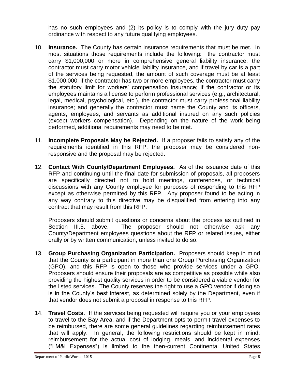has no such employees and (2) its policy is to comply with the jury duty pay ordinance with respect to any future qualifying employees.

- 10. **Insurance.** The County has certain insurance requirements that must be met. In most situations those requirements include the following: the contractor must carry \$1,000,000 or more in comprehensive general liability insurance; the contractor must carry motor vehicle liability insurance, and if travel by car is a part of the services being requested, the amount of such coverage must be at least \$1,000,000; if the contractor has two or more employees, the contractor must carry the statutory limit for workers' compensation insurance; if the contractor or its employees maintains a license to perform professional services (e.g., architectural, legal, medical, psychological, etc.), the contractor must carry professional liability insurance; and generally the contractor must name the County and its officers, agents, employees, and servants as additional insured on any such policies (except workers compensation). Depending on the nature of the work being performed, additional requirements may need to be met.
- 11. **Incomplete Proposals May be Rejected.** If a proposer fails to satisfy any of the requirements identified in this RFP, the proposer may be considered nonresponsive and the proposal may be rejected.
- 12. **Contact With County/Department Employees.** As of the issuance date of this RFP and continuing until the final date for submission of proposals, all proposers are specifically directed not to hold meetings, conferences, or technical discussions with any County employee for purposes of responding to this RFP except as otherwise permitted by this RFP. Any proposer found to be acting in any way contrary to this directive may be disqualified from entering into any contract that may result from this RFP.

Proposers should submit questions or concerns about the process as outlined in Section III.5, above. The proposer should not otherwise ask any County/Department employees questions about the RFP or related issues, either orally or by written communication, unless invited to do so.

- 13. **Group Purchasing Organization Participation.** Proposers should keep in mind that the County is a participant in more than one Group Purchasing Organization (GPO), and this RFP is open to those who provide services under a GPO. Proposers should ensure their proposals are as competitive as possible while also providing the highest quality services in order to be considered a viable vendor for the listed services. The County reserves the right to use a GPO vendor if doing so is in the County's best interest, as determined solely by the Department, even if that vendor does not submit a proposal in response to this RFP.
- 14. **Travel Costs.** If the services being requested will require you or your employees to travel to the Bay Area, and if the Department opts to permit travel expenses to be reimbursed, there are some general guidelines regarding reimbursement rates that will apply. In general, the following restrictions should be kept in mind: reimbursement for the actual cost of lodging, meals, and incidental expenses ("LM&I Expenses") is limited to the then-current Continental United States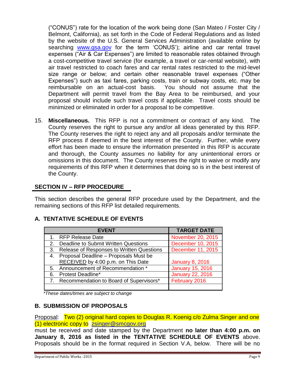("CONUS") rate for the location of the work being done (San Mateo / Foster City / Belmont, California), as set forth in the Code of Federal Regulations and as listed by the website of the U.S. General Services Administration (available online by searching [www.gsa.gov](http://www.gsa.gov/) for the term 'CONUS'); airline and car rental travel expenses ("Air & Car Expenses") are limited to reasonable rates obtained through a cost-competitive travel service (for example, a travel or car-rental website), with air travel restricted to coach fares and car rental rates restricted to the mid-level size range or below; and certain other reasonable travel expenses ("Other Expenses") such as taxi fares, parking costs, train or subway costs, etc. may be reimbursable on an actual-cost basis. You should not assume that the Department will permit travel from the Bay Area to be reimbursed, and your proposal should include such travel costs if applicable. Travel costs should be minimized or eliminated in order for a proposal to be competitive.

15. **Miscellaneous.** This RFP is not a commitment or contract of any kind. The County reserves the right to pursue any and/or all ideas generated by this RFP. The County reserves the right to reject any and all proposals and/or terminate the RFP process if deemed in the best interest of the County. Further, while every effort has been made to ensure the information presented in this RFP is accurate and thorough, the County assumes no liability for any unintentional errors or omissions in this document. The County reserves the right to waive or modify any requirements of this RFP when it determines that doing so is in the best interest of the County.

### **SECTION IV – RFP PROCEDURE**

This section describes the general RFP procedure used by the Department, and the remaining sections of this RFP list detailed requirements.

|    | <b>EVENT</b>                               | <b>TARGET DATE</b>      |
|----|--------------------------------------------|-------------------------|
|    | 1. RFP Release Date                        | November 20, 2015       |
| 2. | Deadline to Submit Written Questions       | December 10, 2015       |
| 3. | Release of Responses to Written Questions  | December 11, 2015       |
|    | 4. Proposal Deadline - Proposals Must be   |                         |
|    | RECEIVED by 4:00 p.m. on This Date         | <b>January 8, 2016</b>  |
| 5. | Announcement of Recommendation *           | <b>January 15, 2016</b> |
| 6. | <b>Protest Deadline*</b>                   | <b>January 22, 2016</b> |
|    | 7. Recommendation to Board of Supervisors* | February 2016           |
|    |                                            |                         |

# **A. TENTATIVE SCHEDULE OF EVENTS**

*\*These dates/times are subject to change*

#### **B. SUBMISSION OF PROPOSALS**

Proposal: Two (2) original hard copies to Douglas R. Koenig c/o Zulma Singer and one (1) electronic copy to [zsinger@smcgov.org](mailto:zsinger@smcgov.org)

must be received and date stamped by the Department **no later than 4:00 p.m. on January 8, 2016 as listed in the TENTATIVE SCHEDULE OF EVENTS** above. Proposals should be in the format required in Section V.A, below. There will be no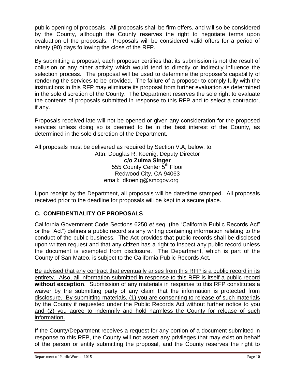public opening of proposals. All proposals shall be firm offers, and will so be considered by the County, although the County reserves the right to negotiate terms upon evaluation of the proposals. Proposals will be considered valid offers for a period of ninety (90) days following the close of the RFP.

By submitting a proposal, each proposer certifies that its submission is not the result of collusion or any other activity which would tend to directly or indirectly influence the selection process. The proposal will be used to determine the proposer's capability of rendering the services to be provided. The failure of a proposer to comply fully with the instructions in this RFP may eliminate its proposal from further evaluation as determined in the sole discretion of the County. The Department reserves the sole right to evaluate the contents of proposals submitted in response to this RFP and to select a contractor, if any.

Proposals received late will not be opened or given any consideration for the proposed services unless doing so is deemed to be in the best interest of the County, as determined in the sole discretion of the Department.

All proposals must be delivered as required by Section V.A, below, to:

Attn: Douglas R. Koenig, Deputy Director **c/o Zulma Singer** 555 County Center 5<sup>th</sup> Floor Redwood City, CA 94063 email: dkoenig@smcgov.org

Upon receipt by the Department, all proposals will be date/time stamped. All proposals received prior to the deadline for proposals will be kept in a secure place.

# **C. CONFIDENTIALITY OF PROPOSALS**

California Government Code Sections 6250 *et seq*. (the "California Public Records Act" or the "Act") defines a public record as any writing containing information relating to the conduct of the public business. The Act provides that public records shall be disclosed upon written request and that any citizen has a right to inspect any public record unless the document is exempted from disclosure. The Department, which is part of the County of San Mateo, is subject to the California Public Records Act.

Be advised that any contract that eventually arises from this RFP is a public record in its entirety. Also, all information submitted in response to this RFP is itself a public record **without exception**. Submission of any materials in response to this RFP constitutes a waiver by the submitting party of any claim that the information is protected from disclosure. By submitting materials, (1) you are consenting to release of such materials by the County if requested under the Public Records Act without further notice to you and (2) you agree to indemnify and hold harmless the County for release of such information.

If the County/Department receives a request for any portion of a document submitted in response to this RFP, the County will not assert any privileges that may exist on behalf of the person or entity submitting the proposal, and the County reserves the right to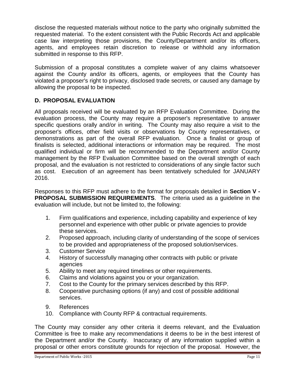disclose the requested materials without notice to the party who originally submitted the requested material. To the extent consistent with the Public Records Act and applicable case law interpreting those provisions, the County/Department and/or its officers, agents, and employees retain discretion to release or withhold any information submitted in response to this RFP.

Submission of a proposal constitutes a complete waiver of any claims whatsoever against the County and/or its officers, agents, or employees that the County has violated a proposer's right to privacy, disclosed trade secrets, or caused any damage by allowing the proposal to be inspected.

# **D. PROPOSAL EVALUATION**

All proposals received will be evaluated by an RFP Evaluation Committee. During the evaluation process, the County may require a proposer's representative to answer specific questions orally and/or in writing. The County may also require a visit to the proposer's offices, other field visits or observations by County representatives, or demonstrations as part of the overall RFP evaluation. Once a finalist or group of finalists is selected, additional interactions or information may be required. The most qualified individual or firm will be recommended to the Department and/or County management by the RFP Evaluation Committee based on the overall strength of each proposal, and the evaluation is not restricted to considerations of any single factor such as cost. Execution of an agreement has been tentatively scheduled for JANUARY 2016.

Responses to this RFP must adhere to the format for proposals detailed in **Section V - PROPOSAL SUBMISSION REQUIREMENTS**. The criteria used as a guideline in the evaluation will include, but not be limited to, the following:

- 1. Firm qualifications and experience, including capability and experience of key personnel and experience with other public or private agencies to provide these services.
- 2. Proposed approach, including clarity of understanding of the scope of services to be provided and appropriateness of the proposed solution/services.
- 3. Customer Service
- 4. History of successfully managing other contracts with public or private agencies
- 5. Ability to meet any required timelines or other requirements.
- 6. Claims and violations against you or your organization.
- 7. Cost to the County for the primary services described by this RFP.
- 8. Cooperative purchasing options (if any) and cost of possible additional services.
- 9. References
- 10. Compliance with County RFP & contractual requirements.

The County may consider any other criteria it deems relevant, and the Evaluation Committee is free to make any recommendations it deems to be in the best interest of the Department and/or the County. Inaccuracy of any information supplied within a proposal or other errors constitute grounds for rejection of the proposal. However, the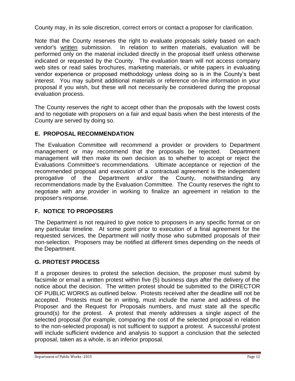County may, in its sole discretion, correct errors or contact a proposer for clarification.

Note that the County reserves the right to evaluate proposals solely based on each vendor's written submission. In relation to written materials, evaluation will be performed only on the material included directly in the proposal itself unless otherwise indicated or requested by the County. The evaluation team will not access company web sites or read sales brochures, marketing materials, or white papers in evaluating vendor experience or proposed methodology unless doing so is in the County's best interest. You may submit additional materials or reference on-line information in your proposal if you wish, but these will not necessarily be considered during the proposal evaluation process.

The County reserves the right to accept other than the proposals with the lowest costs and to negotiate with proposers on a fair and equal basis when the best interests of the County are served by doing so.

# **E. PROPOSAL RECOMMENDATION**

The Evaluation Committee will recommend a provider or providers to Department management or may recommend that the proposals be rejected. Department management will then make its own decision as to whether to accept or reject the Evaluations Committee's recommendations. Ultimate acceptance or rejection of the recommended proposal and execution of a contractual agreement is the independent prerogative of the Department and/or the County, notwithstanding any recommendations made by the Evaluation Committee. The County reserves the right to negotiate with any provider in working to finalize an agreement in relation to the proposer's response.

# **F. NOTICE TO PROPOSERS**

The Department is not required to give notice to proposers in any specific format or on any particular timeline. At some point prior to execution of a final agreement for the requested services, the Department will notify those who submitted proposals of their non-selection. Proposers may be notified at different times depending on the needs of the Department.

# **G. G. PROTEST PROCESS**

If a proposer desires to protest the selection decision, the proposer must submit by facsimile or email a written protest within five (5) business days after the delivery of the notice about the decision. The written protest should be submitted to the DIRECTOR OF PUBLIC WORKS as outlined below. Protests received after the deadline will not be accepted. Protests must be in writing, must include the name and address of the Proposer and the Request for Proposals numbers, and must state all the specific ground(s) for the protest. A protest that merely addresses a single aspect of the selected proposal (for example, comparing the cost of the selected proposal in relation to the non-selected proposal) is not sufficient to support a protest. A successful protest will include sufficient evidence and analysis to support a conclusion that the selected proposal, taken as a whole, is an inferior proposal.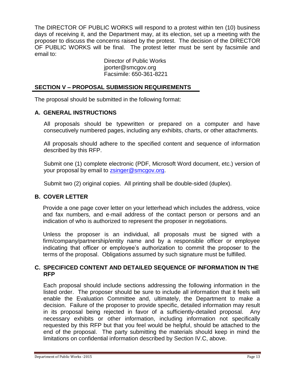The DIRECTOR OF PUBLIC WORKS will respond to a protest within ten (10) business days of receiving it, and the Department may, at its election, set up a meeting with the proposer to discuss the concerns raised by the protest. The decision of the DIRECTOR OF PUBLIC WORKS will be final. The protest letter must be sent by facsimile and email to:

Director of Public Works jporter@smcgov.org Facsimile: 650-361-8221

### **SECTION V – PROPOSAL SUBMISSION REQUIREMENTS**

The proposal should be submitted in the following format:

### **A. GENERAL INSTRUCTIONS**

All proposals should be typewritten or prepared on a computer and have consecutively numbered pages, including any exhibits, charts, or other attachments.

All proposals should adhere to the specified content and sequence of information described by this RFP.

Submit one (1) complete electronic (PDF, Microsoft Word document, etc.) version of your proposal by email to [zsinger@smcgov.org.](mailto:zsinger@smcgov.org)

Submit two (2) original copies. All printing shall be double-sided (duplex).

# **B. COVER LETTER**

Provide a one page cover letter on your letterhead which includes the address, voice and fax numbers, and e-mail address of the contact person or persons and an indication of who is authorized to represent the proposer in negotiations.

Unless the proposer is an individual, all proposals must be signed with a firm/company/partnership/entity name and by a responsible officer or employee indicating that officer or employee's authorization to commit the proposer to the terms of the proposal. Obligations assumed by such signature must be fulfilled.

### **C. SPECIFICED CONTENT AND DETAILED SEQUENCE OF INFORMATION IN THE RFP**

Each proposal should include sections addressing the following information in the listed order. The proposer should be sure to include all information that it feels will enable the Evaluation Committee and, ultimately, the Department to make a decision. Failure of the proposer to provide specific, detailed information may result in its proposal being rejected in favor of a sufficiently-detailed proposal. Any necessary exhibits or other information, including information not specifically requested by this RFP but that you feel would be helpful, should be attached to the end of the proposal. The party submitting the materials should keep in mind the limitations on confidential information described by Section IV.C, above.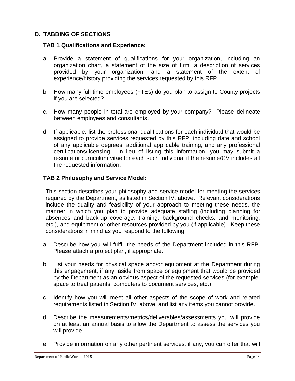# **D. TABBING OF SECTIONS**

#### **TAB 1 Qualifications and Experience:**

- a. Provide a statement of qualifications for your organization, including an organization chart, a statement of the size of firm, a description of services provided by your organization, and a statement of the extent of experience/history providing the services requested by this RFP.
- b. How many full time employees (FTEs) do you plan to assign to County projects if you are selected?
- c. How many people in total are employed by your company? Please delineate between employees and consultants.
- d. If applicable, list the professional qualifications for each individual that would be assigned to provide services requested by this RFP, including date and school of any applicable degrees, additional applicable training, and any professional certifications/licensing. In lieu of listing this information, you may submit a resume or curriculum vitae for each such individual if the resume/CV includes all the requested information.

#### **TAB 2 Philosophy and Service Model:**

This section describes your philosophy and service model for meeting the services required by the Department, as listed in Section IV, above. Relevant considerations include the quality and feasibility of your approach to meeting these needs, the manner in which you plan to provide adequate staffing (including planning for absences and back-up coverage, training, background checks, and monitoring, etc.), and equipment or other resources provided by you (if applicable). Keep these considerations in mind as you respond to the following:

- a. Describe how you will fulfill the needs of the Department included in this RFP. Please attach a project plan, if appropriate.
- b. List your needs for physical space and/or equipment at the Department during this engagement, if any, aside from space or equipment that would be provided by the Department as an obvious aspect of the requested services (for example, space to treat patients, computers to document services, etc.).
- c. Identify how you will meet all other aspects of the scope of work and related requirements listed in Section IV, above, and list any items you cannot provide.
- d. Describe the measurements/metrics/deliverables/assessments you will provide on at least an annual basis to allow the Department to assess the services you will provide.
- e. Provide information on any other pertinent services, if any, you can offer that will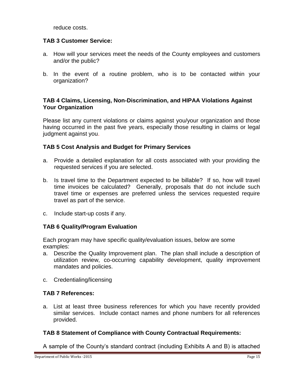reduce costs.

### **TAB 3 Customer Service:**

- a. How will your services meet the needs of the County employees and customers and/or the public?
- b. In the event of a routine problem, who is to be contacted within your organization?

### **TAB 4 Claims, Licensing, Non-Discrimination, and HIPAA Violations Against Your Organization**

Please list any current violations or claims against you/your organization and those having occurred in the past five years, especially those resulting in claims or legal judgment against you.

### **TAB 5 Cost Analysis and Budget for Primary Services**

- a. Provide a detailed explanation for all costs associated with your providing the requested services if you are selected.
- b. Is travel time to the Department expected to be billable? If so, how will travel time invoices be calculated? Generally, proposals that do not include such travel time or expenses are preferred unless the services requested require travel as part of the service.
- c. Include start-up costs if any.

#### **TAB 6 Quality/Program Evaluation**

Each program may have specific quality/evaluation issues, below are some examples:

- a. Describe the Quality Improvement plan. The plan shall include a description of utilization review, co-occurring capability development, quality improvement mandates and policies.
- c. Credentialing/licensing

# **TAB 7 References:**

a. List at least three business references for which you have recently provided similar services. Include contact names and phone numbers for all references provided.

#### **TAB 8 Statement of Compliance with County Contractual Requirements:**

A sample of the County's standard contract (including Exhibits A and B) is attached